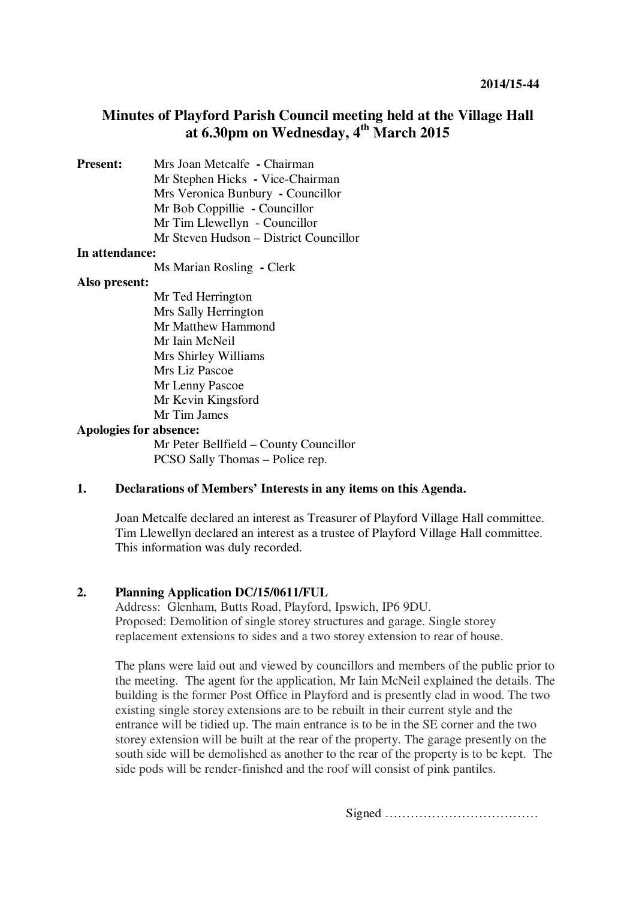# **Minutes of Playford Parish Council meeting held at the Village Hall at 6.30pm on Wednesday, 4th March 2015**

**Present:** Mrs Joan Metcalfe **- Chairman** Mr Stephen Hicks **-** Vice-Chairman Mrs Veronica Bunbury **-** Councillor Mr Bob Coppillie **-** Councillor Mr Tim Llewellyn - Councillor Mr Steven Hudson – District Councillor

### **In attendance:**

Ms Marian Rosling **-** Clerk

### **Also present:**

Mr Ted Herrington Mrs Sally Herrington Mr Matthew Hammond Mr Iain McNeil Mrs Shirley Williams Mrs Liz Pascoe Mr Lenny Pascoe Mr Kevin Kingsford Mr Tim James

### **Apologies for absence:**

Mr Peter Bellfield – County Councillor PCSO Sally Thomas – Police rep.

## **1. Declarations of Members' Interests in any items on this Agenda.**

Joan Metcalfe declared an interest as Treasurer of Playford Village Hall committee. Tim Llewellyn declared an interest as a trustee of Playford Village Hall committee. This information was duly recorded.

### **2. Planning Application DC/15/0611/FUL**

Address: Glenham, Butts Road, Playford, Ipswich, IP6 9DU. Proposed: Demolition of single storey structures and garage. Single storey replacement extensions to sides and a two storey extension to rear of house.

The plans were laid out and viewed by councillors and members of the public prior to the meeting. The agent for the application, Mr Iain McNeil explained the details. The building is the former Post Office in Playford and is presently clad in wood. The two existing single storey extensions are to be rebuilt in their current style and the entrance will be tidied up. The main entrance is to be in the SE corner and the two storey extension will be built at the rear of the property. The garage presently on the south side will be demolished as another to the rear of the property is to be kept. The side pods will be render-finished and the roof will consist of pink pantiles.

Signed ………………………………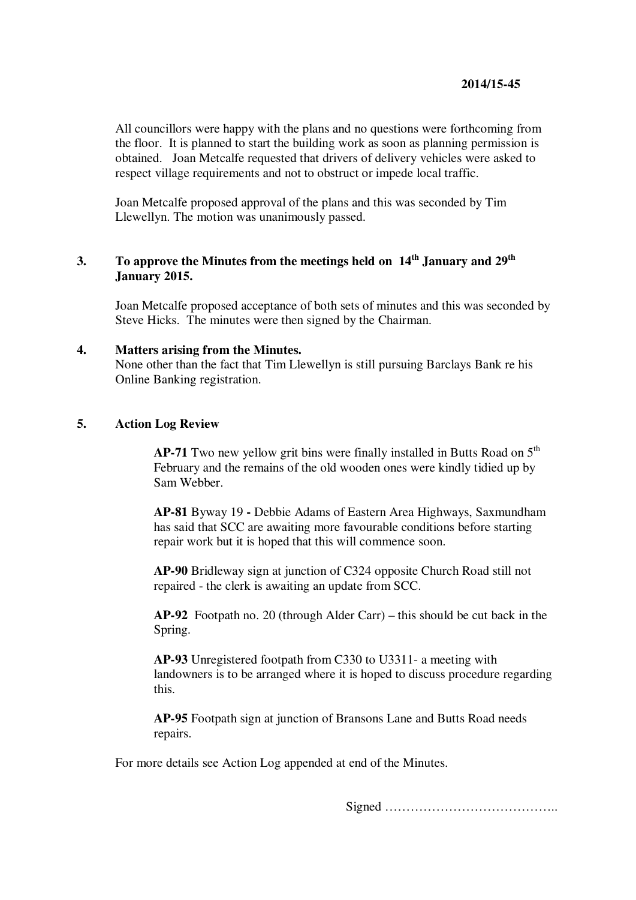All councillors were happy with the plans and no questions were forthcoming from the floor. It is planned to start the building work as soon as planning permission is obtained. Joan Metcalfe requested that drivers of delivery vehicles were asked to respect village requirements and not to obstruct or impede local traffic.

Joan Metcalfe proposed approval of the plans and this was seconded by Tim Llewellyn. The motion was unanimously passed.

# **3. To approve the Minutes from the meetings held on 14th January and 29th January 2015.**

Joan Metcalfe proposed acceptance of both sets of minutes and this was seconded by Steve Hicks. The minutes were then signed by the Chairman.

### **4. Matters arising from the Minutes.**

None other than the fact that Tim Llewellyn is still pursuing Barclays Bank re his Online Banking registration.

### **5. Action Log Review**

**AP-71** Two new yellow grit bins were finally installed in Butts Road on 5<sup>th</sup> February and the remains of the old wooden ones were kindly tidied up by Sam Webber.

**AP-81** Byway 19 **-** Debbie Adams of Eastern Area Highways, Saxmundham has said that SCC are awaiting more favourable conditions before starting repair work but it is hoped that this will commence soon.

**AP-90** Bridleway sign at junction of C324 opposite Church Road still not repaired - the clerk is awaiting an update from SCC.

**AP-92** Footpath no. 20 (through Alder Carr) – this should be cut back in the Spring.

**AP-93** Unregistered footpath from C330 to U3311- a meeting with landowners is to be arranged where it is hoped to discuss procedure regarding this.

**AP-95** Footpath sign at junction of Bransons Lane and Butts Road needs repairs.

For more details see Action Log appended at end of the Minutes.

Signed …………………………………..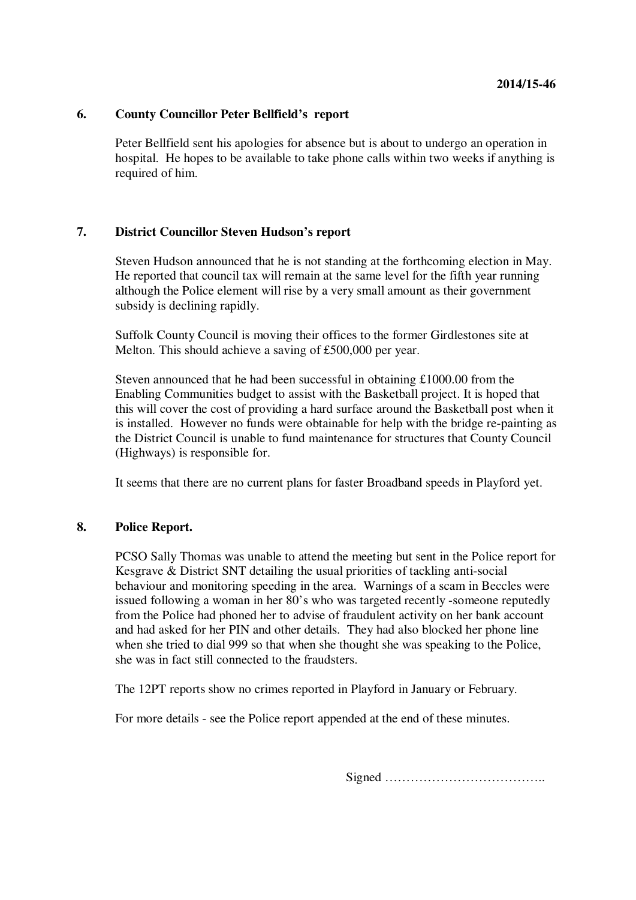### **6. County Councillor Peter Bellfield's report**

Peter Bellfield sent his apologies for absence but is about to undergo an operation in hospital. He hopes to be available to take phone calls within two weeks if anything is required of him.

### **7. District Councillor Steven Hudson's report**

Steven Hudson announced that he is not standing at the forthcoming election in May. He reported that council tax will remain at the same level for the fifth year running although the Police element will rise by a very small amount as their government subsidy is declining rapidly.

Suffolk County Council is moving their offices to the former Girdlestones site at Melton. This should achieve a saving of £500,000 per year.

Steven announced that he had been successful in obtaining £1000.00 from the Enabling Communities budget to assist with the Basketball project. It is hoped that this will cover the cost of providing a hard surface around the Basketball post when it is installed. However no funds were obtainable for help with the bridge re-painting as the District Council is unable to fund maintenance for structures that County Council (Highways) is responsible for.

It seems that there are no current plans for faster Broadband speeds in Playford yet.

### **8. Police Report.**

PCSO Sally Thomas was unable to attend the meeting but sent in the Police report for Kesgrave & District SNT detailing the usual priorities of tackling anti-social behaviour and monitoring speeding in the area. Warnings of a scam in Beccles were issued following a woman in her 80's who was targeted recently -someone reputedly from the Police had phoned her to advise of fraudulent activity on her bank account and had asked for her PIN and other details. They had also blocked her phone line when she tried to dial 999 so that when she thought she was speaking to the Police, she was in fact still connected to the fraudsters.

The 12PT reports show no crimes reported in Playford in January or February.

For more details - see the Police report appended at the end of these minutes.

Signed ………………………………..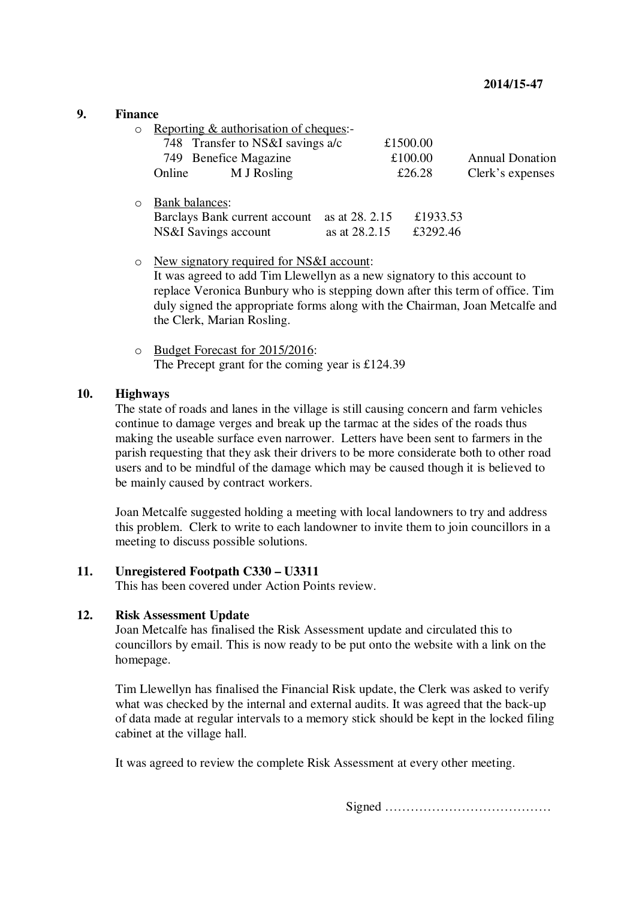## **9. Finance**

 $\circ$  Reporting & authorisation of cheques:

|         | $1.5.5$ $1.00$ $1.00$ $1.00$ $1.00$ $1.00$ $1.00$ $1.00$ $1.00$ $1.00$ $1.00$ |                                                         |                        |
|---------|-------------------------------------------------------------------------------|---------------------------------------------------------|------------------------|
|         | 748 Transfer to NS&I savings a/c                                              | £1500.00                                                |                        |
|         | 749 Benefice Magazine                                                         | £100.00                                                 | <b>Annual Donation</b> |
|         | M J Rosling<br>Online                                                         | £26.28                                                  | Clerk's expenses       |
| $\circ$ | Bank balances:<br>Barclays Bank current account<br>NS&I Savings account       | £1933.53<br>as at 28, 2.15<br>£3292.46<br>as at 28.2.15 |                        |

- o New signatory required for NS&I account: It was agreed to add Tim Llewellyn as a new signatory to this account to replace Veronica Bunbury who is stepping down after this term of office. Tim duly signed the appropriate forms along with the Chairman, Joan Metcalfe and the Clerk, Marian Rosling.
- o Budget Forecast for 2015/2016: The Precept grant for the coming year is £124.39

### **10. Highways**

The state of roads and lanes in the village is still causing concern and farm vehicles continue to damage verges and break up the tarmac at the sides of the roads thus making the useable surface even narrower. Letters have been sent to farmers in the parish requesting that they ask their drivers to be more considerate both to other road users and to be mindful of the damage which may be caused though it is believed to be mainly caused by contract workers.

Joan Metcalfe suggested holding a meeting with local landowners to try and address this problem. Clerk to write to each landowner to invite them to join councillors in a meeting to discuss possible solutions.

### **11. Unregistered Footpath C330 – U3311**

This has been covered under Action Points review.

#### **12. Risk Assessment Update**

Joan Metcalfe has finalised the Risk Assessment update and circulated this to councillors by email. This is now ready to be put onto the website with a link on the homepage.

Tim Llewellyn has finalised the Financial Risk update, the Clerk was asked to verify what was checked by the internal and external audits. It was agreed that the back-up of data made at regular intervals to a memory stick should be kept in the locked filing cabinet at the village hall.

It was agreed to review the complete Risk Assessment at every other meeting.

Signed …………………………………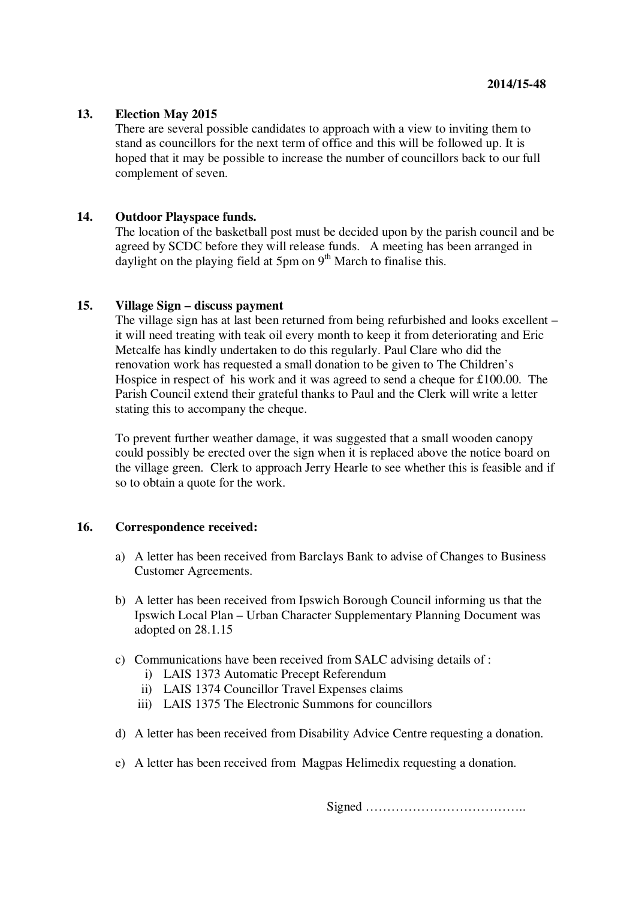### **13. Election May 2015**

There are several possible candidates to approach with a view to inviting them to stand as councillors for the next term of office and this will be followed up. It is hoped that it may be possible to increase the number of councillors back to our full complement of seven.

### **14. Outdoor Playspace funds.**

The location of the basketball post must be decided upon by the parish council and be agreed by SCDC before they will release funds. A meeting has been arranged in daylight on the playing field at 5pm on  $9<sup>th</sup>$  March to finalise this.

### **15. Village Sign – discuss payment**

The village sign has at last been returned from being refurbished and looks excellent – it will need treating with teak oil every month to keep it from deteriorating and Eric Metcalfe has kindly undertaken to do this regularly. Paul Clare who did the renovation work has requested a small donation to be given to The Children's Hospice in respect of his work and it was agreed to send a cheque for £100.00. The Parish Council extend their grateful thanks to Paul and the Clerk will write a letter stating this to accompany the cheque.

To prevent further weather damage, it was suggested that a small wooden canopy could possibly be erected over the sign when it is replaced above the notice board on the village green. Clerk to approach Jerry Hearle to see whether this is feasible and if so to obtain a quote for the work.

#### **16. Correspondence received:**

- a) A letter has been received from Barclays Bank to advise of Changes to Business Customer Agreements.
- b) A letter has been received from Ipswich Borough Council informing us that the Ipswich Local Plan – Urban Character Supplementary Planning Document was adopted on 28.1.15
- c) Communications have been received from SALC advising details of :
	- i) LAIS 1373 Automatic Precept Referendum
	- ii) LAIS 1374 Councillor Travel Expenses claims
	- iii) LAIS 1375 The Electronic Summons for councillors
- d) A letter has been received from Disability Advice Centre requesting a donation.
- e) A letter has been received from Magpas Helimedix requesting a donation.

Signed ………………………………..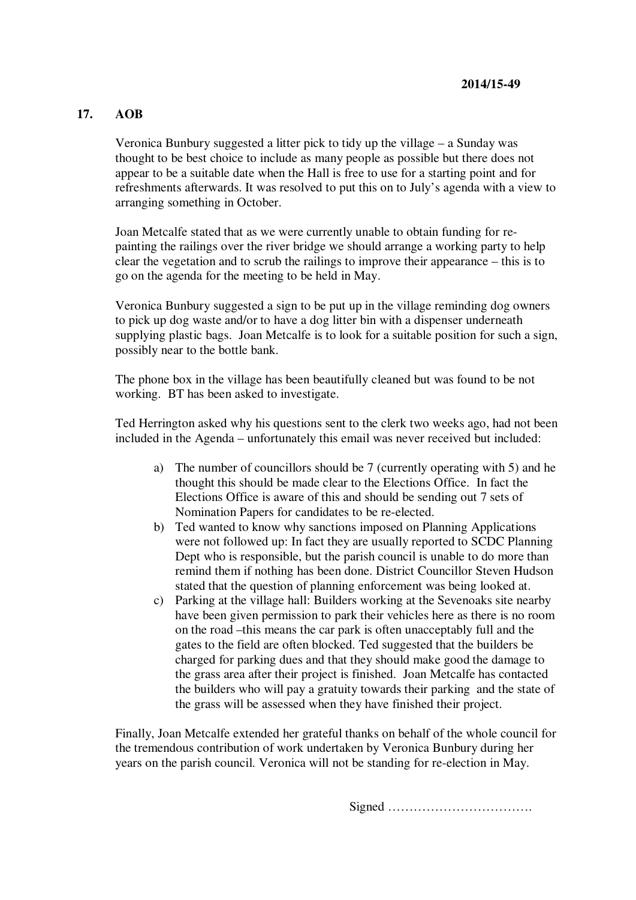## **17. AOB**

Veronica Bunbury suggested a litter pick to tidy up the village – a Sunday was thought to be best choice to include as many people as possible but there does not appear to be a suitable date when the Hall is free to use for a starting point and for refreshments afterwards. It was resolved to put this on to July's agenda with a view to arranging something in October.

Joan Metcalfe stated that as we were currently unable to obtain funding for repainting the railings over the river bridge we should arrange a working party to help clear the vegetation and to scrub the railings to improve their appearance – this is to go on the agenda for the meeting to be held in May.

Veronica Bunbury suggested a sign to be put up in the village reminding dog owners to pick up dog waste and/or to have a dog litter bin with a dispenser underneath supplying plastic bags. Joan Metcalfe is to look for a suitable position for such a sign, possibly near to the bottle bank.

The phone box in the village has been beautifully cleaned but was found to be not working. BT has been asked to investigate.

Ted Herrington asked why his questions sent to the clerk two weeks ago, had not been included in the Agenda – unfortunately this email was never received but included:

- a) The number of councillors should be 7 (currently operating with 5) and he thought this should be made clear to the Elections Office. In fact the Elections Office is aware of this and should be sending out 7 sets of Nomination Papers for candidates to be re-elected.
- b) Ted wanted to know why sanctions imposed on Planning Applications were not followed up: In fact they are usually reported to SCDC Planning Dept who is responsible, but the parish council is unable to do more than remind them if nothing has been done. District Councillor Steven Hudson stated that the question of planning enforcement was being looked at.
- c) Parking at the village hall: Builders working at the Sevenoaks site nearby have been given permission to park their vehicles here as there is no room on the road –this means the car park is often unacceptably full and the gates to the field are often blocked. Ted suggested that the builders be charged for parking dues and that they should make good the damage to the grass area after their project is finished. Joan Metcalfe has contacted the builders who will pay a gratuity towards their parking and the state of the grass will be assessed when they have finished their project.

Finally, Joan Metcalfe extended her grateful thanks on behalf of the whole council for the tremendous contribution of work undertaken by Veronica Bunbury during her years on the parish council. Veronica will not be standing for re-election in May.

Signed …………………………….